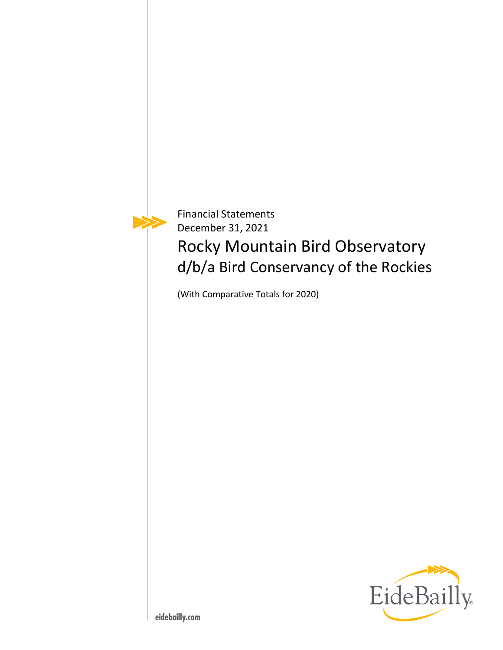Financial Statements December 31, 2021

Rocky Mountain Bird Observatory d/b/a Bird Conservancy of the Rockies

(With Comparative Totals for 2020)

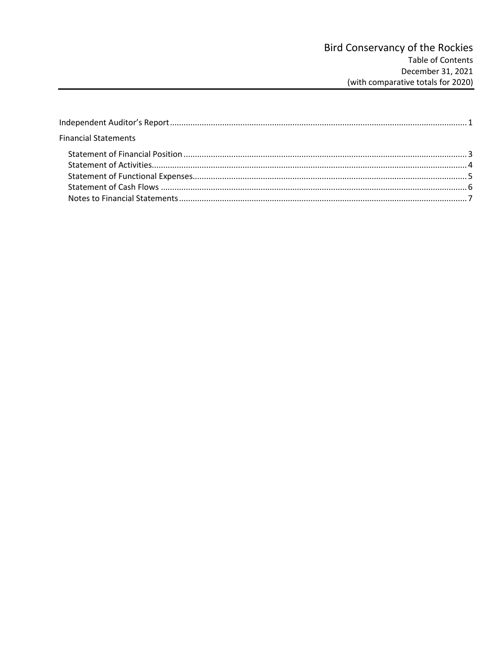| <b>Financial Statements</b> |  |
|-----------------------------|--|
|                             |  |
|                             |  |
|                             |  |
|                             |  |
|                             |  |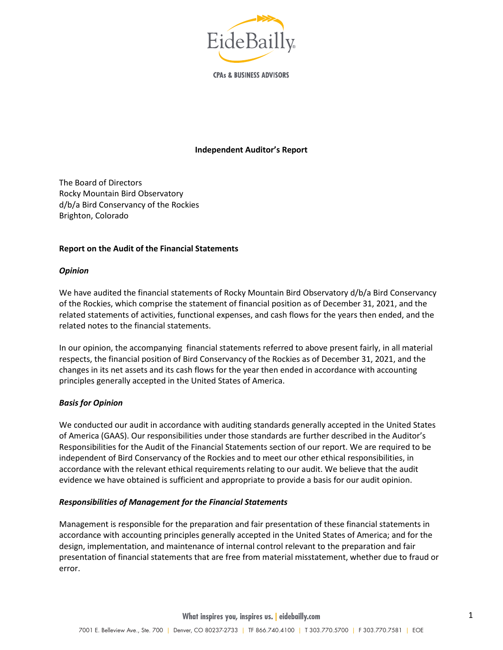

**CPAs & BUSINESS ADVISORS** 

#### **Independent Auditor's Report**

<span id="page-2-0"></span>The Board of Directors Rocky Mountain Bird Observatory d/b/a Bird Conservancy of the Rockies Brighton, Colorado

#### **Report on the Audit of the Financial Statements**

#### *Opinion*

We have audited the financial statements of Rocky Mountain Bird Observatory d/b/a Bird Conservancy of the Rockies, which comprise the statement of financial position as of December 31, 2021, and the related statements of activities, functional expenses, and cash flows for the years then ended, and the related notes to the financial statements.

In our opinion, the accompanying financial statements referred to above present fairly, in all material respects, the financial position of Bird Conservancy of the Rockies as of December 31, 2021, and the changes in its net assets and its cash flows for the year then ended in accordance with accounting principles generally accepted in the United States of America.

#### *Basis for Opinion*

We conducted our audit in accordance with auditing standards generally accepted in the United States of America (GAAS). Our responsibilities under those standards are further described in the Auditor's Responsibilities for the Audit of the Financial Statements section of our report. We are required to be independent of Bird Conservancy of the Rockies and to meet our other ethical responsibilities, in accordance with the relevant ethical requirements relating to our audit. We believe that the audit evidence we have obtained is sufficient and appropriate to provide a basis for our audit opinion.

#### *Responsibilities of Management for the Financial Statements*

Management is responsible for the preparation and fair presentation of these financial statements in accordance with accounting principles generally accepted in the United States of America; and for the design, implementation, and maintenance of internal control relevant to the preparation and fair presentation of financial statements that are free from material misstatement, whether due to fraud or error.

**What inspires you, inspires us. | eidebailly.com**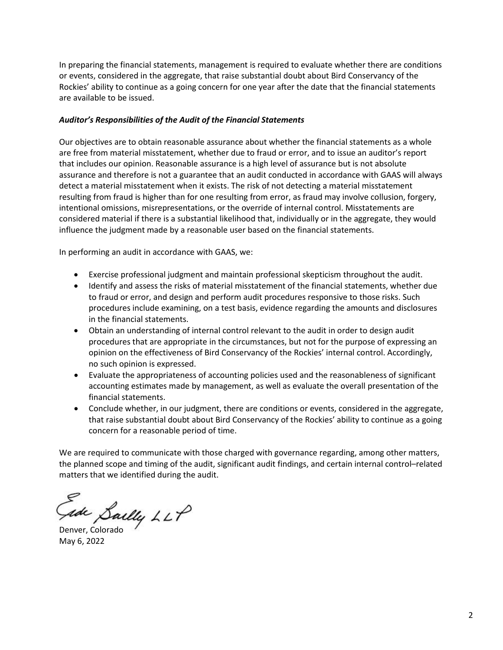In preparing the financial statements, management is required to evaluate whether there are conditions or events, considered in the aggregate, that raise substantial doubt about Bird Conservancy of the Rockies' ability to continue as a going concern for one year after the date that the financial statements are available to be issued.

## *Auditor's Responsibilities of the Audit of the Financial Statements*

Our objectives are to obtain reasonable assurance about whether the financial statements as a whole are free from material misstatement, whether due to fraud or error, and to issue an auditor's report that includes our opinion. Reasonable assurance is a high level of assurance but is not absolute assurance and therefore is not a guarantee that an audit conducted in accordance with GAAS will always detect a material misstatement when it exists. The risk of not detecting a material misstatement resulting from fraud is higher than for one resulting from error, as fraud may involve collusion, forgery, intentional omissions, misrepresentations, or the override of internal control. Misstatements are considered material if there is a substantial likelihood that, individually or in the aggregate, they would influence the judgment made by a reasonable user based on the financial statements.

In performing an audit in accordance with GAAS, we:

- Exercise professional judgment and maintain professional skepticism throughout the audit.
- Identify and assess the risks of material misstatement of the financial statements, whether due to fraud or error, and design and perform audit procedures responsive to those risks. Such procedures include examining, on a test basis, evidence regarding the amounts and disclosures in the financial statements.
- Obtain an understanding of internal control relevant to the audit in order to design audit procedures that are appropriate in the circumstances, but not for the purpose of expressing an opinion on the effectiveness of Bird Conservancy of the Rockies' internal control. Accordingly, no such opinion is expressed.
- Evaluate the appropriateness of accounting policies used and the reasonableness of significant accounting estimates made by management, as well as evaluate the overall presentation of the financial statements.
- Conclude whether, in our judgment, there are conditions or events, considered in the aggregate, that raise substantial doubt about Bird Conservancy of the Rockies' ability to continue as a going concern for a reasonable period of time.

We are required to communicate with those charged with governance regarding, among other matters, the planned scope and timing of the audit, significant audit findings, and certain internal control–related matters that we identified during the audit.

Fade Sailly LLP

May 6, 2022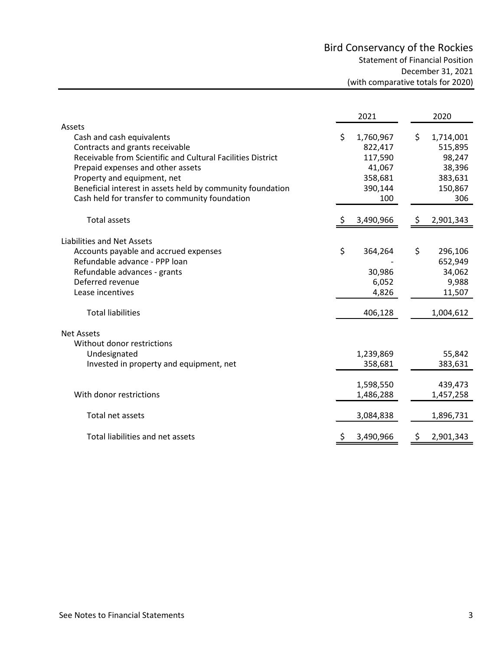# Bird Conservancy of the Rockies Statement of Financial Position December 31, 2021 (with comparative totals for 2020)

<span id="page-4-1"></span><span id="page-4-0"></span>

| \$<br>\$<br>Cash and cash equivalents<br>1,760,967<br>1,714,001<br>Contracts and grants receivable<br>822,417<br>515,895<br>Receivable from Scientific and Cultural Facilities District<br>117,590<br>98,247<br>38,396<br>Prepaid expenses and other assets<br>41,067<br>Property and equipment, net<br>358,681<br>383,631<br>Beneficial interest in assets held by community foundation<br>390,144<br>150,867<br>Cash held for transfer to community foundation<br>306<br>100<br><b>Total assets</b><br>\$<br>3,490,966<br>2,901,343<br>\$<br>Liabilities and Net Assets<br>\$<br>\$<br>Accounts payable and accrued expenses<br>364,264<br>296,106<br>Refundable advance - PPP loan<br>652,949<br>Refundable advances - grants<br>30,986<br>34,062<br>Deferred revenue<br>9,988<br>6,052<br>Lease incentives<br>4,826<br>11,507<br><b>Total liabilities</b><br>406,128<br>1,004,612<br><b>Net Assets</b><br>Without donor restrictions<br>Undesignated<br>1,239,869<br>55,842<br>Invested in property and equipment, net<br>358,681<br>383,631<br>1,598,550<br>439,473<br>With donor restrictions<br>1,486,288<br>1,457,258<br>Total net assets<br>3,084,838<br>1,896,731 |                                  | 2021            |   | 2020      |
|-----------------------------------------------------------------------------------------------------------------------------------------------------------------------------------------------------------------------------------------------------------------------------------------------------------------------------------------------------------------------------------------------------------------------------------------------------------------------------------------------------------------------------------------------------------------------------------------------------------------------------------------------------------------------------------------------------------------------------------------------------------------------------------------------------------------------------------------------------------------------------------------------------------------------------------------------------------------------------------------------------------------------------------------------------------------------------------------------------------------------------------------------------------------------------|----------------------------------|-----------------|---|-----------|
|                                                                                                                                                                                                                                                                                                                                                                                                                                                                                                                                                                                                                                                                                                                                                                                                                                                                                                                                                                                                                                                                                                                                                                             | Assets                           |                 |   |           |
|                                                                                                                                                                                                                                                                                                                                                                                                                                                                                                                                                                                                                                                                                                                                                                                                                                                                                                                                                                                                                                                                                                                                                                             |                                  |                 |   |           |
|                                                                                                                                                                                                                                                                                                                                                                                                                                                                                                                                                                                                                                                                                                                                                                                                                                                                                                                                                                                                                                                                                                                                                                             |                                  |                 |   |           |
|                                                                                                                                                                                                                                                                                                                                                                                                                                                                                                                                                                                                                                                                                                                                                                                                                                                                                                                                                                                                                                                                                                                                                                             |                                  |                 |   |           |
|                                                                                                                                                                                                                                                                                                                                                                                                                                                                                                                                                                                                                                                                                                                                                                                                                                                                                                                                                                                                                                                                                                                                                                             |                                  |                 |   |           |
|                                                                                                                                                                                                                                                                                                                                                                                                                                                                                                                                                                                                                                                                                                                                                                                                                                                                                                                                                                                                                                                                                                                                                                             |                                  |                 |   |           |
|                                                                                                                                                                                                                                                                                                                                                                                                                                                                                                                                                                                                                                                                                                                                                                                                                                                                                                                                                                                                                                                                                                                                                                             |                                  |                 |   |           |
|                                                                                                                                                                                                                                                                                                                                                                                                                                                                                                                                                                                                                                                                                                                                                                                                                                                                                                                                                                                                                                                                                                                                                                             |                                  |                 |   |           |
|                                                                                                                                                                                                                                                                                                                                                                                                                                                                                                                                                                                                                                                                                                                                                                                                                                                                                                                                                                                                                                                                                                                                                                             |                                  |                 |   |           |
|                                                                                                                                                                                                                                                                                                                                                                                                                                                                                                                                                                                                                                                                                                                                                                                                                                                                                                                                                                                                                                                                                                                                                                             |                                  |                 |   |           |
|                                                                                                                                                                                                                                                                                                                                                                                                                                                                                                                                                                                                                                                                                                                                                                                                                                                                                                                                                                                                                                                                                                                                                                             |                                  |                 |   |           |
|                                                                                                                                                                                                                                                                                                                                                                                                                                                                                                                                                                                                                                                                                                                                                                                                                                                                                                                                                                                                                                                                                                                                                                             |                                  |                 |   |           |
|                                                                                                                                                                                                                                                                                                                                                                                                                                                                                                                                                                                                                                                                                                                                                                                                                                                                                                                                                                                                                                                                                                                                                                             |                                  |                 |   |           |
|                                                                                                                                                                                                                                                                                                                                                                                                                                                                                                                                                                                                                                                                                                                                                                                                                                                                                                                                                                                                                                                                                                                                                                             |                                  |                 |   |           |
|                                                                                                                                                                                                                                                                                                                                                                                                                                                                                                                                                                                                                                                                                                                                                                                                                                                                                                                                                                                                                                                                                                                                                                             |                                  |                 |   |           |
|                                                                                                                                                                                                                                                                                                                                                                                                                                                                                                                                                                                                                                                                                                                                                                                                                                                                                                                                                                                                                                                                                                                                                                             |                                  |                 |   |           |
|                                                                                                                                                                                                                                                                                                                                                                                                                                                                                                                                                                                                                                                                                                                                                                                                                                                                                                                                                                                                                                                                                                                                                                             |                                  |                 |   |           |
|                                                                                                                                                                                                                                                                                                                                                                                                                                                                                                                                                                                                                                                                                                                                                                                                                                                                                                                                                                                                                                                                                                                                                                             |                                  |                 |   |           |
|                                                                                                                                                                                                                                                                                                                                                                                                                                                                                                                                                                                                                                                                                                                                                                                                                                                                                                                                                                                                                                                                                                                                                                             |                                  |                 |   |           |
|                                                                                                                                                                                                                                                                                                                                                                                                                                                                                                                                                                                                                                                                                                                                                                                                                                                                                                                                                                                                                                                                                                                                                                             |                                  |                 |   |           |
|                                                                                                                                                                                                                                                                                                                                                                                                                                                                                                                                                                                                                                                                                                                                                                                                                                                                                                                                                                                                                                                                                                                                                                             |                                  |                 |   |           |
|                                                                                                                                                                                                                                                                                                                                                                                                                                                                                                                                                                                                                                                                                                                                                                                                                                                                                                                                                                                                                                                                                                                                                                             |                                  |                 |   |           |
|                                                                                                                                                                                                                                                                                                                                                                                                                                                                                                                                                                                                                                                                                                                                                                                                                                                                                                                                                                                                                                                                                                                                                                             |                                  |                 |   |           |
|                                                                                                                                                                                                                                                                                                                                                                                                                                                                                                                                                                                                                                                                                                                                                                                                                                                                                                                                                                                                                                                                                                                                                                             |                                  |                 |   |           |
|                                                                                                                                                                                                                                                                                                                                                                                                                                                                                                                                                                                                                                                                                                                                                                                                                                                                                                                                                                                                                                                                                                                                                                             |                                  |                 |   |           |
|                                                                                                                                                                                                                                                                                                                                                                                                                                                                                                                                                                                                                                                                                                                                                                                                                                                                                                                                                                                                                                                                                                                                                                             | Total liabilities and net assets | \$<br>3,490,966 | Ş | 2,901,343 |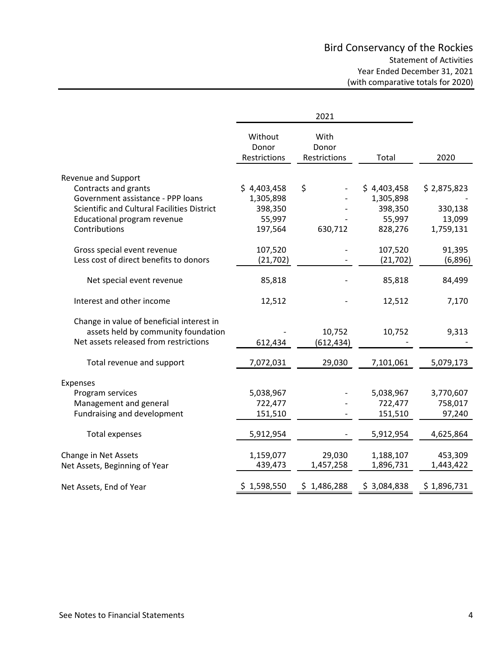<span id="page-5-0"></span>

|                                             | Without<br>Donor<br>Restrictions | With<br>Donor<br>Restrictions | Total       | 2020        |
|---------------------------------------------|----------------------------------|-------------------------------|-------------|-------------|
| Revenue and Support                         |                                  |                               |             |             |
| Contracts and grants                        | \$4,403,458                      | \$                            | \$4,403,458 | \$2,875,823 |
| Government assistance - PPP loans           | 1,305,898                        |                               | 1,305,898   |             |
| Scientific and Cultural Facilities District | 398,350                          |                               | 398,350     | 330,138     |
| <b>Educational program revenue</b>          | 55,997                           |                               | 55,997      | 13,099      |
| Contributions                               | 197,564                          | 630,712                       | 828,276     | 1,759,131   |
| Gross special event revenue                 | 107,520                          |                               | 107,520     | 91,395      |
| Less cost of direct benefits to donors      | (21, 702)                        |                               | (21, 702)   | (6,896)     |
| Net special event revenue                   | 85,818                           |                               | 85,818      | 84,499      |
| Interest and other income                   | 12,512                           |                               | 12,512      | 7,170       |
| Change in value of beneficial interest in   |                                  |                               |             |             |
| assets held by community foundation         |                                  | 10,752                        | 10,752      | 9,313       |
| Net assets released from restrictions       | 612,434                          | (612, 434)                    |             |             |
| Total revenue and support                   | 7,072,031                        | 29,030                        | 7,101,061   | 5,079,173   |
| Expenses                                    |                                  |                               |             |             |
| Program services                            | 5,038,967                        |                               | 5,038,967   | 3,770,607   |
| Management and general                      | 722,477                          |                               | 722,477     | 758,017     |
| Fundraising and development                 | 151,510                          |                               | 151,510     | 97,240      |
| <b>Total expenses</b>                       | 5,912,954                        |                               | 5,912,954   | 4,625,864   |
| Change in Net Assets                        | 1,159,077                        | 29,030                        | 1,188,107   | 453,309     |
| Net Assets, Beginning of Year               | 439,473                          | 1,457,258                     | 1,896,731   | 1,443,422   |
| Net Assets, End of Year                     | \$1,598,550                      | \$1,486,288                   | \$3,084,838 | \$1,896,731 |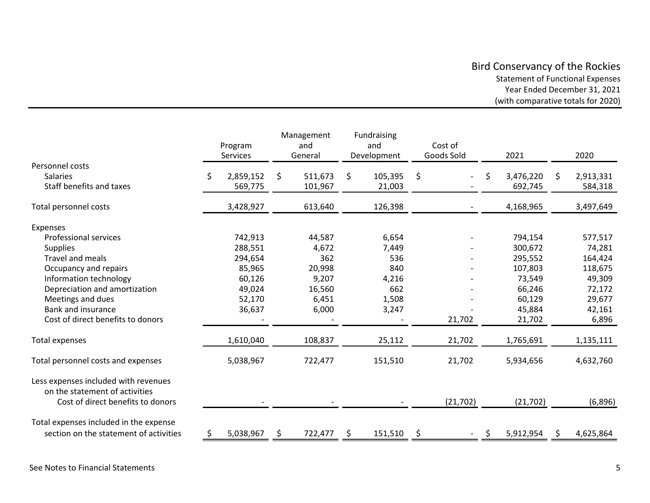# Bird Conservancy of the Rockies

Statement of Functional Expenses Year Ended December 31, 2021 (with comparative totals for 2020)

<span id="page-6-0"></span>

|                                                                        | Program<br><b>Services</b> | Management<br>and<br>General | Fundraising<br>and<br>Development | Cost of<br>Goods Sold    |    | 2021      |    | 2020      |
|------------------------------------------------------------------------|----------------------------|------------------------------|-----------------------------------|--------------------------|----|-----------|----|-----------|
| Personnel costs                                                        |                            |                              |                                   |                          |    |           |    |           |
| <b>Salaries</b><br>Staff benefits and taxes                            | 2,859,152                  | \$<br>511,673                | \$<br>105,395                     | \$<br>$\sim$             | \$ | 3,476,220 | \$ | 2,913,331 |
|                                                                        | 569,775                    | 101,967                      | 21,003                            |                          |    | 692,745   |    | 584,318   |
| Total personnel costs                                                  | 3,428,927                  | 613,640                      | 126,398                           | $\overline{\phantom{a}}$ |    | 4,168,965 |    | 3,497,649 |
| Expenses                                                               |                            |                              |                                   |                          |    |           |    |           |
| <b>Professional services</b>                                           | 742,913                    | 44,587                       | 6,654                             |                          |    | 794,154   |    | 577,517   |
| <b>Supplies</b>                                                        | 288,551                    | 4,672                        | 7,449                             |                          |    | 300,672   |    | 74,281    |
| Travel and meals                                                       | 294,654                    | 362                          | 536                               |                          |    | 295,552   |    | 164,424   |
| Occupancy and repairs                                                  | 85,965                     | 20,998                       | 840                               |                          |    | 107,803   |    | 118,675   |
| Information technology                                                 | 60,126                     | 9,207                        | 4,216                             |                          |    | 73,549    |    | 49,309    |
| Depreciation and amortization                                          | 49,024                     | 16,560                       | 662                               |                          |    | 66,246    |    | 72,172    |
| Meetings and dues                                                      | 52,170                     | 6,451                        | 1,508                             |                          |    | 60,129    |    | 29,677    |
| <b>Bank and insurance</b>                                              | 36,637                     | 6,000                        | 3,247                             |                          |    | 45,884    |    | 42,161    |
| Cost of direct benefits to donors                                      |                            |                              |                                   | 21,702                   |    | 21,702    |    | 6,896     |
| <b>Total expenses</b>                                                  | 1,610,040                  | 108,837                      | 25,112                            | 21,702                   |    | 1,765,691 |    | 1,135,111 |
| Total personnel costs and expenses                                     | 5,038,967                  | 722,477                      | 151,510                           | 21,702                   |    | 5,934,656 |    | 4,632,760 |
| Less expenses included with revenues<br>on the statement of activities |                            |                              |                                   |                          |    |           |    |           |
| Cost of direct benefits to donors                                      |                            |                              |                                   | (21, 702)                |    | (21, 702) |    | (6,896)   |
| Total expenses included in the expense                                 |                            |                              |                                   |                          |    |           |    |           |
| section on the statement of activities                                 | 5,038,967                  | 722,477                      | 151,510                           | \$                       | Ş  | 5,912,954 | S  | 4,625,864 |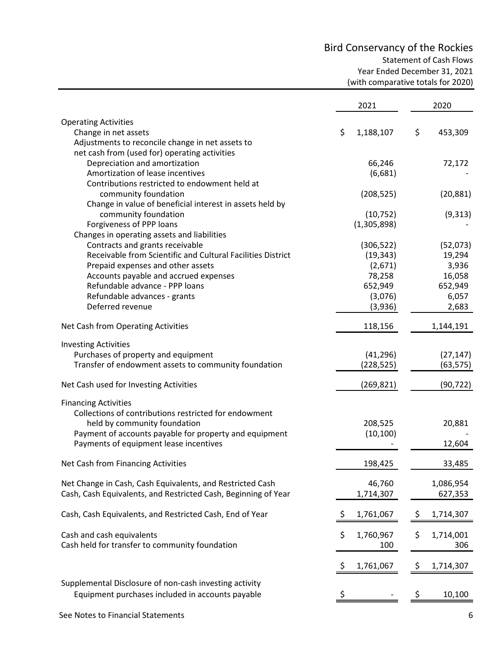# Bird Conservancy of the Rockies

Statement of Cash Flows Year Ended December 31, 2021

(with comparative totals for 2020)

<span id="page-7-0"></span>

|                                                                |     | 2021        |    | 2020      |
|----------------------------------------------------------------|-----|-------------|----|-----------|
| <b>Operating Activities</b>                                    |     |             |    |           |
| Change in net assets                                           | \$  | 1,188,107   | \$ | 453,309   |
| Adjustments to reconcile change in net assets to               |     |             |    |           |
| net cash from (used for) operating activities                  |     |             |    |           |
| Depreciation and amortization                                  |     | 66,246      |    | 72,172    |
| Amortization of lease incentives                               |     | (6,681)     |    |           |
| Contributions restricted to endowment held at                  |     |             |    |           |
| community foundation                                           |     | (208, 525)  |    | (20, 881) |
| Change in value of beneficial interest in assets held by       |     |             |    |           |
| community foundation                                           |     | (10, 752)   |    | (9,313)   |
| Forgiveness of PPP loans                                       |     | (1,305,898) |    |           |
| Changes in operating assets and liabilities                    |     |             |    |           |
| Contracts and grants receivable                                |     | (306, 522)  |    | (52,073)  |
| Receivable from Scientific and Cultural Facilities District    |     | (19, 343)   |    | 19,294    |
| Prepaid expenses and other assets                              |     | (2,671)     |    | 3,936     |
| Accounts payable and accrued expenses                          |     | 78,258      |    | 16,058    |
| Refundable advance - PPP loans                                 |     | 652,949     |    | 652,949   |
| Refundable advances - grants                                   |     | (3,076)     |    | 6,057     |
| Deferred revenue                                               |     | (3,936)     |    | 2,683     |
| Net Cash from Operating Activities                             |     | 118,156     |    | 1,144,191 |
|                                                                |     |             |    |           |
| <b>Investing Activities</b>                                    |     |             |    |           |
| Purchases of property and equipment                            |     | (41, 296)   |    | (27, 147) |
| Transfer of endowment assets to community foundation           |     | (228, 525)  |    | (63, 575) |
| Net Cash used for Investing Activities                         |     | (269, 821)  |    | (90,722)  |
| <b>Financing Activities</b>                                    |     |             |    |           |
| Collections of contributions restricted for endowment          |     |             |    |           |
| held by community foundation                                   |     | 208,525     |    | 20,881    |
| Payment of accounts payable for property and equipment         |     | (10, 100)   |    |           |
| Payments of equipment lease incentives                         |     |             |    | 12,604    |
|                                                                |     |             |    |           |
| Net Cash from Financing Activities                             |     | 198,425     |    | 33,485    |
| Net Change in Cash, Cash Equivalents, and Restricted Cash      |     | 46,760      |    | 1,086,954 |
| Cash, Cash Equivalents, and Restricted Cash, Beginning of Year |     | 1,714,307   |    | 627,353   |
|                                                                |     |             |    |           |
| Cash, Cash Equivalents, and Restricted Cash, End of Year       |     | 1,761,067   | Ş  | 1,714,307 |
| Cash and cash equivalents                                      | \$  | 1,760,967   | \$ | 1,714,001 |
| Cash held for transfer to community foundation                 |     | 100         |    | 306       |
|                                                                |     |             |    |           |
|                                                                | \$, | 1,761,067   | \$ | 1,714,307 |
| Supplemental Disclosure of non-cash investing activity         |     |             |    |           |
| Equipment purchases included in accounts payable               | Ş   |             |    | 10,100    |
|                                                                |     |             |    |           |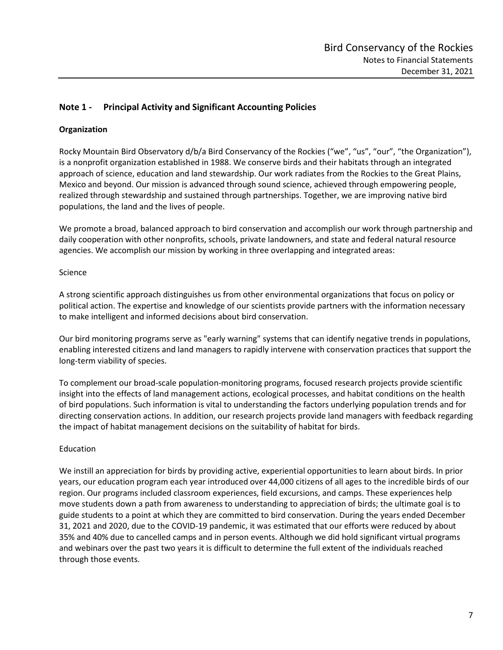## <span id="page-8-0"></span>**Note 1 - Principal Activity and Significant Accounting Policies**

## **Organization**

Rocky Mountain Bird Observatory d/b/a Bird Conservancy of the Rockies ("we", "us", "our", "the Organization"), is a nonprofit organization established in 1988. We conserve birds and their habitats through an integrated approach of science, education and land stewardship. Our work radiates from the Rockies to the Great Plains, Mexico and beyond. Our mission is advanced through sound science, achieved through empowering people, realized through stewardship and sustained through partnerships. Together, we are improving native bird populations, the land and the lives of people.

We promote a broad, balanced approach to bird conservation and accomplish our work through partnership and daily cooperation with other nonprofits, schools, private landowners, and state and federal natural resource agencies. We accomplish our mission by working in three overlapping and integrated areas:

#### Science

A strong scientific approach distinguishes us from other environmental organizations that focus on policy or political action. The expertise and knowledge of our scientists provide partners with the information necessary to make intelligent and informed decisions about bird conservation.

Our bird monitoring programs serve as "early warning" systems that can identify negative trends in populations, enabling interested citizens and land managers to rapidly intervene with conservation practices that support the long-term viability of species.

To complement our broad-scale population-monitoring programs, focused research projects provide scientific insight into the effects of land management actions, ecological processes, and habitat conditions on the health of bird populations. Such information is vital to understanding the factors underlying population trends and for directing conservation actions. In addition, our research projects provide land managers with feedback regarding the impact of habitat management decisions on the suitability of habitat for birds.

## Education

We instill an appreciation for birds by providing active, experiential opportunities to learn about birds. In prior years, our education program each year introduced over 44,000 citizens of all ages to the incredible birds of our region. Our programs included classroom experiences, field excursions, and camps. These experiences help move students down a path from awareness to understanding to appreciation of birds; the ultimate goal is to guide students to a point at which they are committed to bird conservation. During the years ended December 31, 2021 and 2020, due to the COVID-19 pandemic, it was estimated that our efforts were reduced by about 35% and 40% due to cancelled camps and in person events. Although we did hold significant virtual programs and webinars over the past two years it is difficult to determine the full extent of the individuals reached through those events.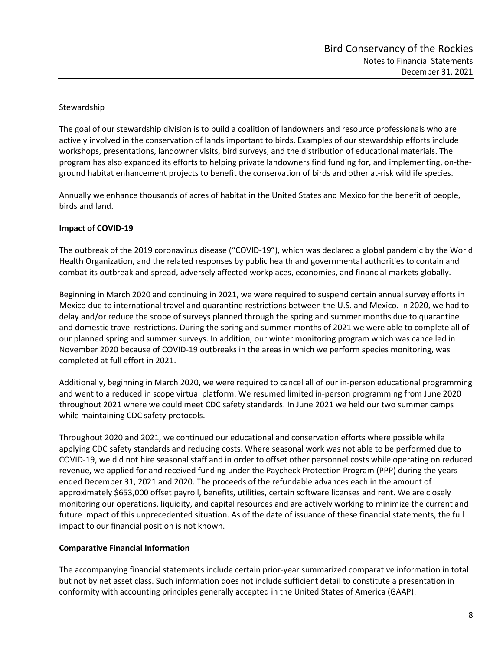## Stewardship

The goal of our stewardship division is to build a coalition of landowners and resource professionals who are actively involved in the conservation of lands important to birds. Examples of our stewardship efforts include workshops, presentations, landowner visits, bird surveys, and the distribution of educational materials. The program has also expanded its efforts to helping private landowners find funding for, and implementing, on-theground habitat enhancement projects to benefit the conservation of birds and other at-risk wildlife species.

Annually we enhance thousands of acres of habitat in the United States and Mexico for the benefit of people, birds and land.

## **Impact of COVID-19**

The outbreak of the 2019 coronavirus disease ("COVID-19"), which was declared a global pandemic by the World Health Organization, and the related responses by public health and governmental authorities to contain and combat its outbreak and spread, adversely affected workplaces, economies, and financial markets globally.

Beginning in March 2020 and continuing in 2021, we were required to suspend certain annual survey efforts in Mexico due to international travel and quarantine restrictions between the U.S. and Mexico. In 2020, we had to delay and/or reduce the scope of surveys planned through the spring and summer months due to quarantine and domestic travel restrictions. During the spring and summer months of 2021 we were able to complete all of our planned spring and summer surveys. In addition, our winter monitoring program which was cancelled in November 2020 because of COVID-19 outbreaks in the areas in which we perform species monitoring, was completed at full effort in 2021.

Additionally, beginning in March 2020, we were required to cancel all of our in-person educational programming and went to a reduced in scope virtual platform. We resumed limited in-person programming from June 2020 throughout 2021 where we could meet CDC safety standards. In June 2021 we held our two summer camps while maintaining CDC safety protocols.

Throughout 2020 and 2021, we continued our educational and conservation efforts where possible while applying CDC safety standards and reducing costs. Where seasonal work was not able to be performed due to COVID-19, we did not hire seasonal staff and in order to offset other personnel costs while operating on reduced revenue, we applied for and received funding under the Paycheck Protection Program (PPP) during the years ended December 31, 2021 and 2020. The proceeds of the refundable advances each in the amount of approximately \$653,000 offset payroll, benefits, utilities, certain software licenses and rent. We are closely monitoring our operations, liquidity, and capital resources and are actively working to minimize the current and future impact of this unprecedented situation. As of the date of issuance of these financial statements, the full impact to our financial position is not known.

#### **Comparative Financial Information**

The accompanying financial statements include certain prior-year summarized comparative information in total but not by net asset class. Such information does not include sufficient detail to constitute a presentation in conformity with accounting principles generally accepted in the United States of America (GAAP).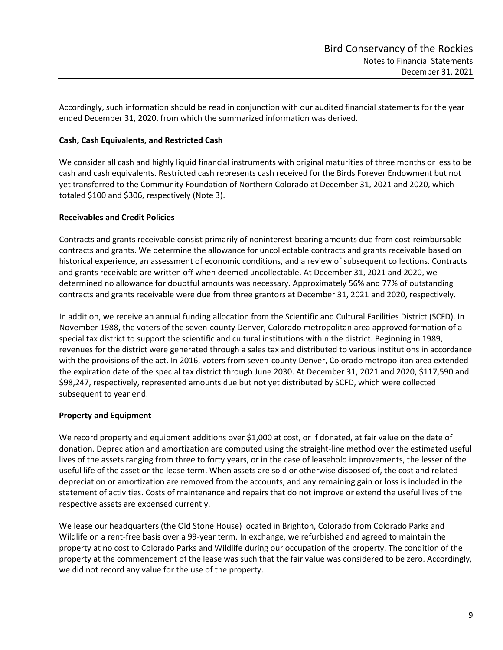Accordingly, such information should be read in conjunction with our audited financial statements for the year ended December 31, 2020, from which the summarized information was derived.

#### **Cash, Cash Equivalents, and Restricted Cash**

We consider all cash and highly liquid financial instruments with original maturities of three months or less to be cash and cash equivalents. Restricted cash represents cash received for the Birds Forever Endowment but not yet transferred to the Community Foundation of Northern Colorado at December 31, 2021 and 2020, which totaled \$100 and \$306, respectively (Note 3).

#### **Receivables and Credit Policies**

Contracts and grants receivable consist primarily of noninterest-bearing amounts due from cost-reimbursable contracts and grants. We determine the allowance for uncollectable contracts and grants receivable based on historical experience, an assessment of economic conditions, and a review of subsequent collections. Contracts and grants receivable are written off when deemed uncollectable. At December 31, 2021 and 2020, we determined no allowance for doubtful amounts was necessary. Approximately 56% and 77% of outstanding contracts and grants receivable were due from three grantors at December 31, 2021 and 2020, respectively.

In addition, we receive an annual funding allocation from the Scientific and Cultural Facilities District (SCFD). In November 1988, the voters of the seven-county Denver, Colorado metropolitan area approved formation of a special tax district to support the scientific and cultural institutions within the district. Beginning in 1989, revenues for the district were generated through a sales tax and distributed to various institutions in accordance with the provisions of the act. In 2016, voters from seven-county Denver, Colorado metropolitan area extended the expiration date of the special tax district through June 2030. At December 31, 2021 and 2020, \$117,590 and \$98,247, respectively, represented amounts due but not yet distributed by SCFD, which were collected subsequent to year end.

## **Property and Equipment**

We record property and equipment additions over \$1,000 at cost, or if donated, at fair value on the date of donation. Depreciation and amortization are computed using the straight-line method over the estimated useful lives of the assets ranging from three to forty years, or in the case of leasehold improvements, the lesser of the useful life of the asset or the lease term. When assets are sold or otherwise disposed of, the cost and related depreciation or amortization are removed from the accounts, and any remaining gain or loss is included in the statement of activities. Costs of maintenance and repairs that do not improve or extend the useful lives of the respective assets are expensed currently.

We lease our headquarters (the Old Stone House) located in Brighton, Colorado from Colorado Parks and Wildlife on a rent-free basis over a 99-year term. In exchange, we refurbished and agreed to maintain the property at no cost to Colorado Parks and Wildlife during our occupation of the property. The condition of the property at the commencement of the lease was such that the fair value was considered to be zero. Accordingly, we did not record any value for the use of the property.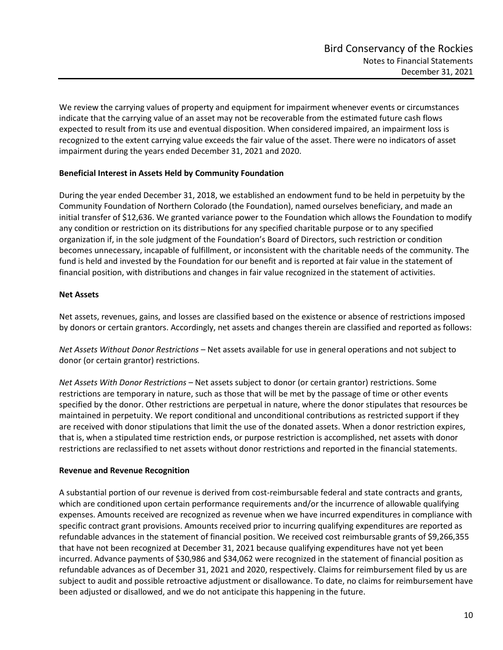We review the carrying values of property and equipment for impairment whenever events or circumstances indicate that the carrying value of an asset may not be recoverable from the estimated future cash flows expected to result from its use and eventual disposition. When considered impaired, an impairment loss is recognized to the extent carrying value exceeds the fair value of the asset. There were no indicators of asset impairment during the years ended December 31, 2021 and 2020.

## **Beneficial Interest in Assets Held by Community Foundation**

During the year ended December 31, 2018, we established an endowment fund to be held in perpetuity by the Community Foundation of Northern Colorado (the Foundation), named ourselves beneficiary, and made an initial transfer of \$12,636. We granted variance power to the Foundation which allows the Foundation to modify any condition or restriction on its distributions for any specified charitable purpose or to any specified organization if, in the sole judgment of the Foundation's Board of Directors, such restriction or condition becomes unnecessary, incapable of fulfillment, or inconsistent with the charitable needs of the community. The fund is held and invested by the Foundation for our benefit and is reported at fair value in the statement of financial position, with distributions and changes in fair value recognized in the statement of activities.

## **Net Assets**

Net assets, revenues, gains, and losses are classified based on the existence or absence of restrictions imposed by donors or certain grantors. Accordingly, net assets and changes therein are classified and reported as follows:

*Net Assets Without Donor Restrictions* – Net assets available for use in general operations and not subject to donor (or certain grantor) restrictions.

*Net Assets With Donor Restrictions* – Net assets subject to donor (or certain grantor) restrictions. Some restrictions are temporary in nature, such as those that will be met by the passage of time or other events specified by the donor. Other restrictions are perpetual in nature, where the donor stipulates that resources be maintained in perpetuity. We report conditional and unconditional contributions as restricted support if they are received with donor stipulations that limit the use of the donated assets. When a donor restriction expires, that is, when a stipulated time restriction ends, or purpose restriction is accomplished, net assets with donor restrictions are reclassified to net assets without donor restrictions and reported in the financial statements.

#### **Revenue and Revenue Recognition**

A substantial portion of our revenue is derived from cost-reimbursable federal and state contracts and grants, which are conditioned upon certain performance requirements and/or the incurrence of allowable qualifying expenses. Amounts received are recognized as revenue when we have incurred expenditures in compliance with specific contract grant provisions. Amounts received prior to incurring qualifying expenditures are reported as refundable advances in the statement of financial position. We received cost reimbursable grants of \$9,266,355 that have not been recognized at December 31, 2021 because qualifying expenditures have not yet been incurred. Advance payments of \$30,986 and \$34,062 were recognized in the statement of financial position as refundable advances as of December 31, 2021 and 2020, respectively. Claims for reimbursement filed by us are subject to audit and possible retroactive adjustment or disallowance. To date, no claims for reimbursement have been adjusted or disallowed, and we do not anticipate this happening in the future.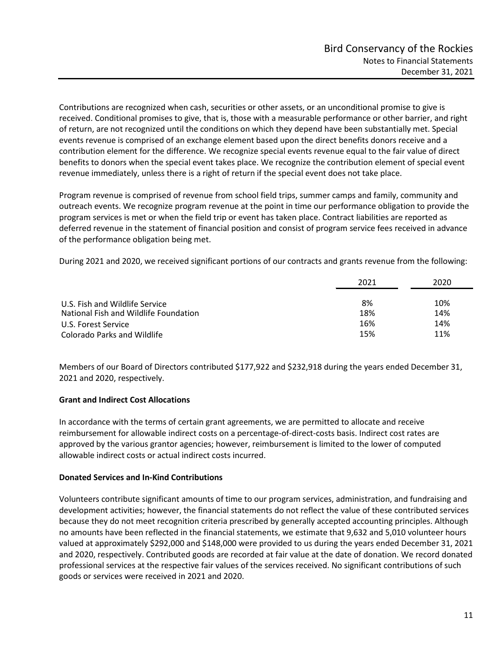Contributions are recognized when cash, securities or other assets, or an unconditional promise to give is received. Conditional promises to give, that is, those with a measurable performance or other barrier, and right of return, are not recognized until the conditions on which they depend have been substantially met. Special events revenue is comprised of an exchange element based upon the direct benefits donors receive and a contribution element for the difference. We recognize special events revenue equal to the fair value of direct benefits to donors when the special event takes place. We recognize the contribution element of special event revenue immediately, unless there is a right of return if the special event does not take place.

Program revenue is comprised of revenue from school field trips, summer camps and family, community and outreach events. We recognize program revenue at the point in time our performance obligation to provide the program services is met or when the field trip or event has taken place. Contract liabilities are reported as deferred revenue in the statement of financial position and consist of program service fees received in advance of the performance obligation being met.

During 2021 and 2020, we received significant portions of our contracts and grants revenue from the following:

|                                       | 2021 | 2020 |
|---------------------------------------|------|------|
|                                       |      |      |
| U.S. Fish and Wildlife Service        | 8%   | 10%  |
| National Fish and Wildlife Foundation | 18%  | 14%  |
| U.S. Forest Service                   | 16%  | 14%  |
| Colorado Parks and Wildlife           | 15%  | 11%  |

Members of our Board of Directors contributed \$177,922 and \$232,918 during the years ended December 31, 2021 and 2020, respectively.

#### **Grant and Indirect Cost Allocations**

In accordance with the terms of certain grant agreements, we are permitted to allocate and receive reimbursement for allowable indirect costs on a percentage-of-direct-costs basis. Indirect cost rates are approved by the various grantor agencies; however, reimbursement is limited to the lower of computed allowable indirect costs or actual indirect costs incurred.

#### **Donated Services and In-Kind Contributions**

Volunteers contribute significant amounts of time to our program services, administration, and fundraising and development activities; however, the financial statements do not reflect the value of these contributed services because they do not meet recognition criteria prescribed by generally accepted accounting principles. Although no amounts have been reflected in the financial statements, we estimate that 9,632 and 5,010 volunteer hours valued at approximately \$292,000 and \$148,000 were provided to us during the years ended December 31, 2021 and 2020, respectively. Contributed goods are recorded at fair value at the date of donation. We record donated professional services at the respective fair values of the services received. No significant contributions of such goods or services were received in 2021 and 2020.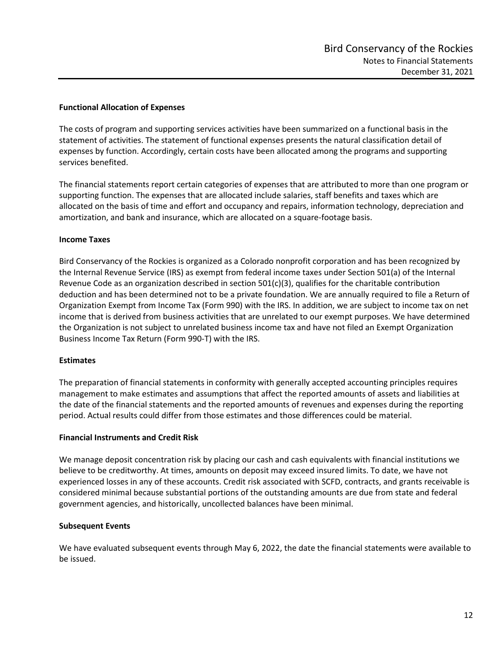## **Functional Allocation of Expenses**

The costs of program and supporting services activities have been summarized on a functional basis in the statement of activities. The statement of functional expenses presents the natural classification detail of expenses by function. Accordingly, certain costs have been allocated among the programs and supporting services benefited.

The financial statements report certain categories of expenses that are attributed to more than one program or supporting function. The expenses that are allocated include salaries, staff benefits and taxes which are allocated on the basis of time and effort and occupancy and repairs, information technology, depreciation and amortization, and bank and insurance, which are allocated on a square-footage basis.

#### **Income Taxes**

Bird Conservancy of the Rockies is organized as a Colorado nonprofit corporation and has been recognized by the Internal Revenue Service (IRS) as exempt from federal income taxes under Section 501(a) of the Internal Revenue Code as an organization described in section  $501(c)(3)$ , qualifies for the charitable contribution deduction and has been determined not to be a private foundation. We are annually required to file a Return of Organization Exempt from Income Tax (Form 990) with the IRS. In addition, we are subject to income tax on net income that is derived from business activities that are unrelated to our exempt purposes. We have determined the Organization is not subject to unrelated business income tax and have not filed an Exempt Organization Business Income Tax Return (Form 990-T) with the IRS.

## **Estimates**

The preparation of financial statements in conformity with generally accepted accounting principles requires management to make estimates and assumptions that affect the reported amounts of assets and liabilities at the date of the financial statements and the reported amounts of revenues and expenses during the reporting period. Actual results could differ from those estimates and those differences could be material.

#### **Financial Instruments and Credit Risk**

We manage deposit concentration risk by placing our cash and cash equivalents with financial institutions we believe to be creditworthy. At times, amounts on deposit may exceed insured limits. To date, we have not experienced losses in any of these accounts. Credit risk associated with SCFD, contracts, and grants receivable is considered minimal because substantial portions of the outstanding amounts are due from state and federal government agencies, and historically, uncollected balances have been minimal.

#### **Subsequent Events**

We have evaluated subsequent events through May 6, 2022, the date the financial statements were available to be issued.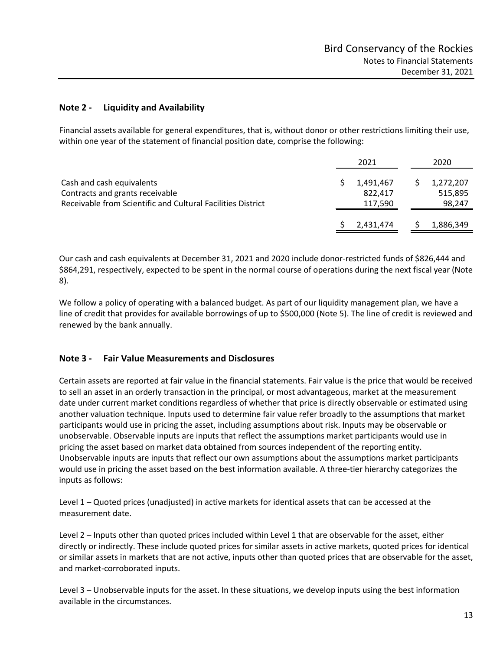## **Note 2 - Liquidity and Availability**

Financial assets available for general expenditures, that is, without donor or other restrictions limiting their use, within one year of the statement of financial position date, comprise the following:

|                                                                                                                             | 2021                            | 2020                           |
|-----------------------------------------------------------------------------------------------------------------------------|---------------------------------|--------------------------------|
| Cash and cash equivalents<br>Contracts and grants receivable<br>Receivable from Scientific and Cultural Facilities District | 1,491,467<br>822.417<br>117,590 | 1,272,207<br>515,895<br>98,247 |
|                                                                                                                             | 2,431,474                       | 1,886,349                      |

Our cash and cash equivalents at December 31, 2021 and 2020 include donor-restricted funds of \$826,444 and \$864,291, respectively, expected to be spent in the normal course of operations during the next fiscal year (Note 8).

We follow a policy of operating with a balanced budget. As part of our liquidity management plan, we have a line of credit that provides for available borrowings of up to \$500,000 (Note 5). The line of credit is reviewed and renewed by the bank annually.

## **Note 3 - Fair Value Measurements and Disclosures**

Certain assets are reported at fair value in the financial statements. Fair value is the price that would be received to sell an asset in an orderly transaction in the principal, or most advantageous, market at the measurement date under current market conditions regardless of whether that price is directly observable or estimated using another valuation technique. Inputs used to determine fair value refer broadly to the assumptions that market participants would use in pricing the asset, including assumptions about risk. Inputs may be observable or unobservable. Observable inputs are inputs that reflect the assumptions market participants would use in pricing the asset based on market data obtained from sources independent of the reporting entity. Unobservable inputs are inputs that reflect our own assumptions about the assumptions market participants would use in pricing the asset based on the best information available. A three-tier hierarchy categorizes the inputs as follows:

Level 1 – Quoted prices (unadjusted) in active markets for identical assets that can be accessed at the measurement date.

Level 2 – Inputs other than quoted prices included within Level 1 that are observable for the asset, either directly or indirectly. These include quoted prices for similar assets in active markets, quoted prices for identical or similar assets in markets that are not active, inputs other than quoted prices that are observable for the asset, and market-corroborated inputs.

Level 3 – Unobservable inputs for the asset. In these situations, we develop inputs using the best information available in the circumstances.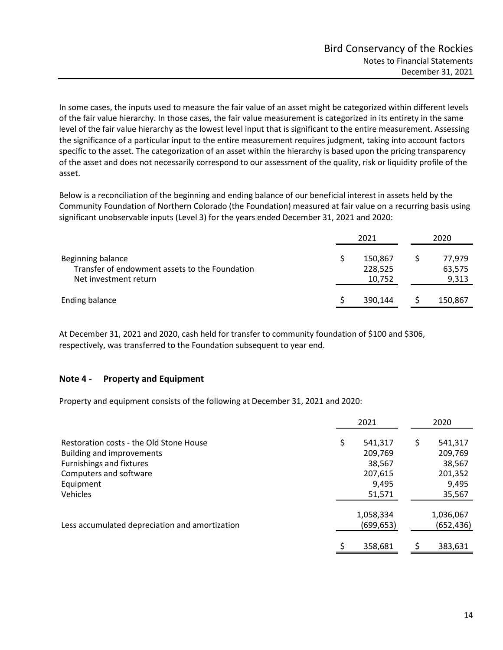In some cases, the inputs used to measure the fair value of an asset might be categorized within different levels of the fair value hierarchy. In those cases, the fair value measurement is categorized in its entirety in the same level of the fair value hierarchy as the lowest level input that is significant to the entire measurement. Assessing the significance of a particular input to the entire measurement requires judgment, taking into account factors specific to the asset. The categorization of an asset within the hierarchy is based upon the pricing transparency of the asset and does not necessarily correspond to our assessment of the quality, risk or liquidity profile of the asset.

Below is a reconciliation of the beginning and ending balance of our beneficial interest in assets held by the Community Foundation of Northern Colorado (the Foundation) measured at fair value on a recurring basis using significant unobservable inputs (Level 3) for the years ended December 31, 2021 and 2020:

|                                                                                              |  | 2020                         |  |                           |
|----------------------------------------------------------------------------------------------|--|------------------------------|--|---------------------------|
| Beginning balance<br>Transfer of endowment assets to the Foundation<br>Net investment return |  | 150,867<br>228,525<br>10,752 |  | 77,979<br>63,575<br>9,313 |
| Ending balance                                                                               |  | 390,144                      |  | 150,867                   |

At December 31, 2021 and 2020, cash held for transfer to community foundation of \$100 and \$306, respectively, was transferred to the Foundation subsequent to year end.

## **Note 4 - Property and Equipment**

Property and equipment consists of the following at December 31, 2021 and 2020:

|                                                                             | 2021 |                    |    | 2020               |  |  |
|-----------------------------------------------------------------------------|------|--------------------|----|--------------------|--|--|
| Restoration costs - the Old Stone House<br><b>Building and improvements</b> | \$   | 541,317<br>209,769 | \$ | 541,317<br>209,769 |  |  |
| Furnishings and fixtures                                                    |      | 38,567             |    | 38,567             |  |  |
| Computers and software                                                      |      | 207,615            |    | 201,352            |  |  |
| Equipment                                                                   |      | 9,495              |    | 9,495              |  |  |
| Vehicles                                                                    |      | 51,571             |    | 35,567             |  |  |
|                                                                             |      | 1,058,334          |    | 1,036,067          |  |  |
| Less accumulated depreciation and amortization                              |      | (699,653)          |    | (652, 436)         |  |  |
|                                                                             |      | 358,681            | Ś  | 383,631            |  |  |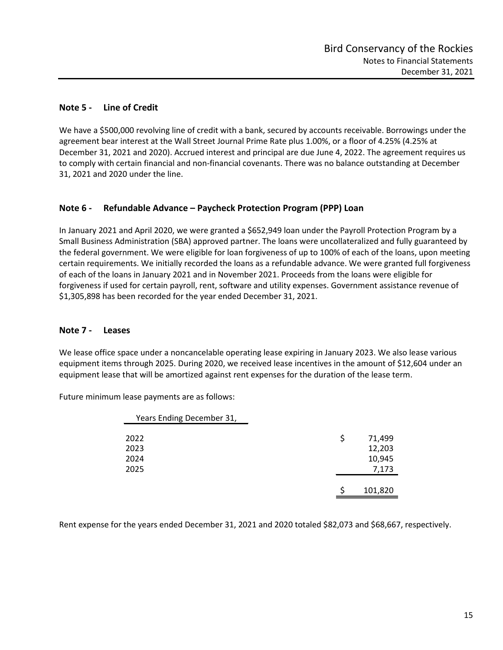# **Note 5 - Line of Credit**

We have a \$500,000 revolving line of credit with a bank, secured by accounts receivable. Borrowings under the agreement bear interest at the Wall Street Journal Prime Rate plus 1.00%, or a floor of 4.25% (4.25% at December 31, 2021 and 2020). Accrued interest and principal are due June 4, 2022. The agreement requires us to comply with certain financial and non-financial covenants. There was no balance outstanding at December 31, 2021 and 2020 under the line.

## **Note 6 - Refundable Advance – Paycheck Protection Program (PPP) Loan**

In January 2021 and April 2020, we were granted a \$652,949 loan under the Payroll Protection Program by a Small Business Administration (SBA) approved partner. The loans were uncollateralized and fully guaranteed by the federal government. We were eligible for loan forgiveness of up to 100% of each of the loans, upon meeting certain requirements. We initially recorded the loans as a refundable advance. We were granted full forgiveness of each of the loans in January 2021 and in November 2021. Proceeds from the loans were eligible for forgiveness if used for certain payroll, rent, software and utility expenses. Government assistance revenue of \$1,305,898 has been recorded for the year ended December 31, 2021.

## **Note 7 - Leases**

We lease office space under a noncancelable operating lease expiring in January 2023. We also lease various equipment items through 2025. During 2020, we received lease incentives in the amount of \$12,604 under an equipment lease that will be amortized against rent expenses for the duration of the lease term.

Future minimum lease payments are as follows:

| Years Ending December 31,    |                                           |
|------------------------------|-------------------------------------------|
| 2022<br>2023<br>2024<br>2025 | \$<br>71,499<br>12,203<br>10,945<br>7,173 |
|                              | 101,820                                   |

Rent expense for the years ended December 31, 2021 and 2020 totaled \$82,073 and \$68,667, respectively.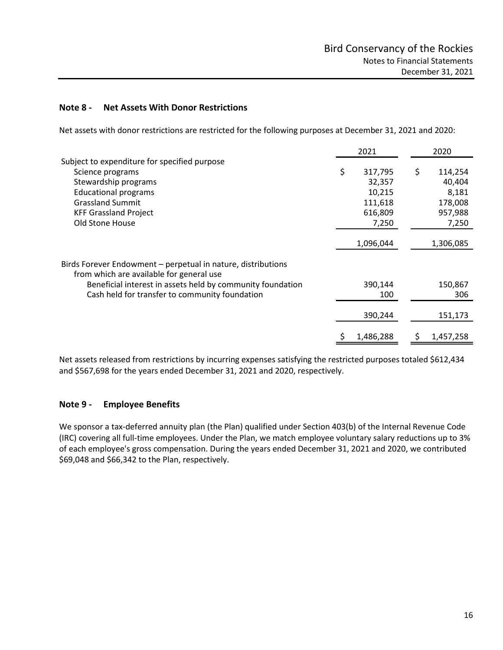## **Note 8 - Net Assets With Donor Restrictions**

Net assets with donor restrictions are restricted for the following purposes at December 31, 2021 and 2020:

|                                                                                                          | 2021          |    | 2020      |  |
|----------------------------------------------------------------------------------------------------------|---------------|----|-----------|--|
| Subject to expenditure for specified purpose                                                             |               |    |           |  |
| Science programs                                                                                         | \$<br>317,795 | \$ | 114,254   |  |
| Stewardship programs                                                                                     | 32,357        |    | 40,404    |  |
| <b>Educational programs</b>                                                                              | 10,215        |    | 8,181     |  |
| <b>Grassland Summit</b>                                                                                  | 111,618       |    | 178,008   |  |
| <b>KFF Grassland Project</b>                                                                             | 616,809       |    | 957,988   |  |
| Old Stone House                                                                                          | 7,250         |    | 7,250     |  |
|                                                                                                          |               |    |           |  |
|                                                                                                          | 1,096,044     |    | 1,306,085 |  |
|                                                                                                          |               |    |           |  |
| Birds Forever Endowment - perpetual in nature, distributions<br>from which are available for general use |               |    |           |  |
| Beneficial interest in assets held by community foundation                                               | 390,144       |    | 150,867   |  |
| Cash held for transfer to community foundation                                                           | 100           |    | 306       |  |
|                                                                                                          |               |    |           |  |
|                                                                                                          | 390,244       |    | 151,173   |  |
|                                                                                                          | 1,486,288     | Ş  | 1,457,258 |  |

Net assets released from restrictions by incurring expenses satisfying the restricted purposes totaled \$612,434 and \$567,698 for the years ended December 31, 2021 and 2020, respectively.

## **Note 9 - Employee Benefits**

We sponsor a tax-deferred annuity plan (the Plan) qualified under Section 403(b) of the Internal Revenue Code (IRC) covering all full-time employees. Under the Plan, we match employee voluntary salary reductions up to 3% of each employee's gross compensation. During the years ended December 31, 2021 and 2020, we contributed \$69,048 and \$66,342 to the Plan, respectively.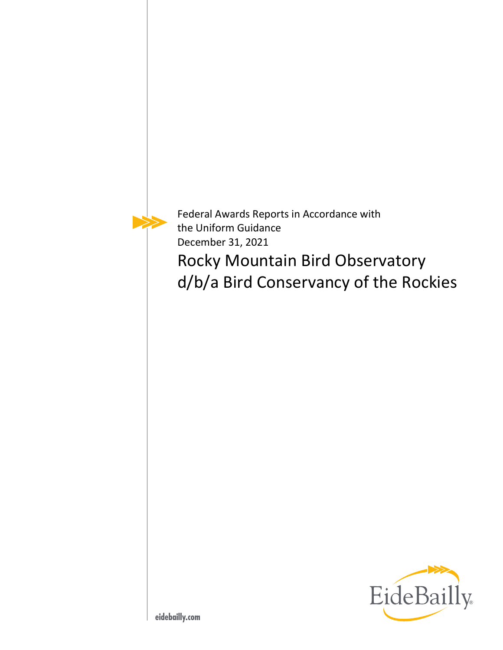Federal Awards Reports in Accordance with the Uniform Guidance December 31, 2021

Rocky Mountain Bird Observatory d/b/a Bird Conservancy of the Rockies

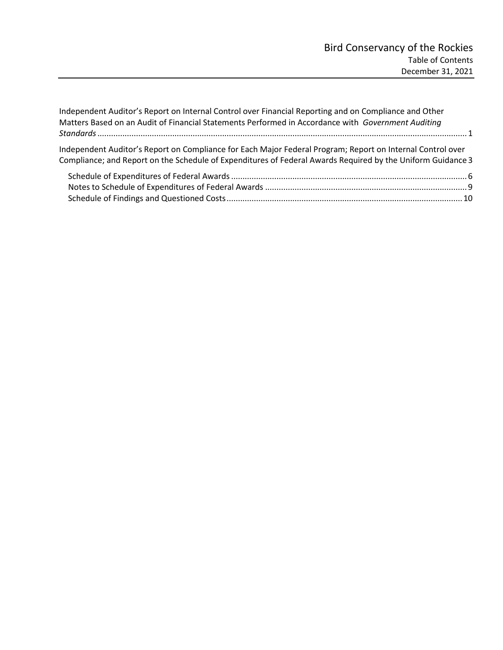| Independent Auditor's Report on Internal Control over Financial Reporting and on Compliance and Other<br>Matters Based on an Audit of Financial Statements Performed in Accordance with Government Auditing               |  |
|---------------------------------------------------------------------------------------------------------------------------------------------------------------------------------------------------------------------------|--|
| Independent Auditor's Report on Compliance for Each Major Federal Program; Report on Internal Control over<br>Compliance; and Report on the Schedule of Expenditures of Federal Awards Required by the Uniform Guidance 3 |  |
|                                                                                                                                                                                                                           |  |
|                                                                                                                                                                                                                           |  |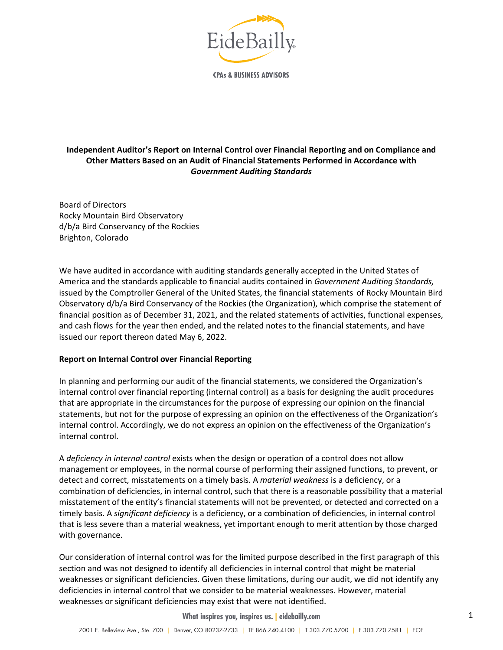

**CPAs & BUSINESS ADVISORS** 

## <span id="page-20-0"></span>**Independent Auditor's Report on Internal Control over Financial Reporting and on Compliance and Other Matters Based on an Audit of Financial Statements Performed in Accordance with**  *Government Auditing Standards*

Board of Directors Rocky Mountain Bird Observatory d/b/a Bird Conservancy of the Rockies Brighton, Colorado

We have audited in accordance with auditing standards generally accepted in the United States of America and the standards applicable to financial audits contained in *Government Auditing Standards,*  issued by the Comptroller General of the United States, the financial statements of Rocky Mountain Bird Observatory d/b/a Bird Conservancy of the Rockies (the Organization), which comprise the statement of financial position as of December 31, 2021, and the related statements of activities, functional expenses, and cash flows for the year then ended, and the related notes to the financial statements, and have issued our report thereon dated May 6, 2022.

#### **Report on Internal Control over Financial Reporting**

In planning and performing our audit of the financial statements, we considered the Organization's internal control over financial reporting (internal control) as a basis for designing the audit procedures that are appropriate in the circumstances for the purpose of expressing our opinion on the financial statements, but not for the purpose of expressing an opinion on the effectiveness of the Organization's internal control. Accordingly, we do not express an opinion on the effectiveness of the Organization's internal control.

A *deficiency in internal control* exists when the design or operation of a control does not allow management or employees, in the normal course of performing their assigned functions, to prevent, or detect and correct, misstatements on a timely basis. A *material weakness* is a deficiency, or a combination of deficiencies, in internal control, such that there is a reasonable possibility that a material misstatement of the entity's financial statements will not be prevented, or detected and corrected on a timely basis. A *significant deficiency* is a deficiency, or a combination of deficiencies, in internal control that is less severe than a material weakness, yet important enough to merit attention by those charged with governance.

Our consideration of internal control was for the limited purpose described in the first paragraph of this section and was not designed to identify all deficiencies in internal control that might be material weaknesses or significant deficiencies. Given these limitations, during our audit, we did not identify any deficiencies in internal control that we consider to be material weaknesses. However, material weaknesses or significant deficiencies may exist that were not identified.

**What inspires you, inspires us. | eidebailly.com**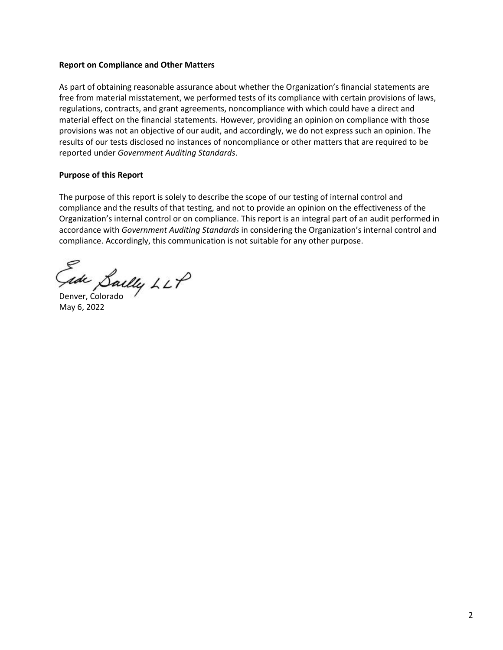#### **Report on Compliance and Other Matters**

As part of obtaining reasonable assurance about whether the Organization's financial statements are free from material misstatement, we performed tests of its compliance with certain provisions of laws, regulations, contracts, and grant agreements, noncompliance with which could have a direct and material effect on the financial statements. However, providing an opinion on compliance with those provisions was not an objective of our audit, and accordingly, we do not express such an opinion. The results of our tests disclosed no instances of noncompliance or other matters that are required to be reported under *Government Auditing Standards*.

#### **Purpose of this Report**

The purpose of this report is solely to describe the scope of our testing of internal control and compliance and the results of that testing, and not to provide an opinion on the effectiveness of the Organization's internal control or on compliance. This report is an integral part of an audit performed in accordance with *Government Auditing Standards* in considering the Organization's internal control and compliance. Accordingly, this communication is not suitable for any other purpose.

Gade Sailly LLP<br>Denver, Colorado

May 6, 2022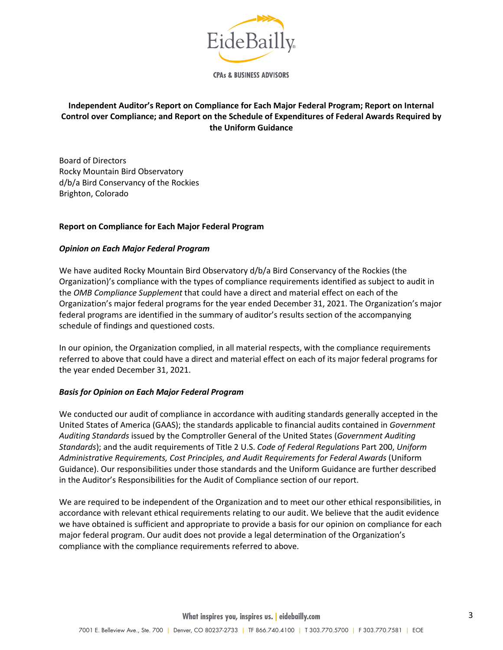

**CPAs & BUSINESS ADVISORS** 

## <span id="page-22-0"></span>**Independent Auditor's Report on Compliance for Each Major Federal Program; Report on Internal Control over Compliance; and Report on the Schedule of Expenditures of Federal Awards Required by the Uniform Guidance**

Board of Directors Rocky Mountain Bird Observatory d/b/a Bird Conservancy of the Rockies Brighton, Colorado

#### **Report on Compliance for Each Major Federal Program**

#### *Opinion on Each Major Federal Program*

We have audited Rocky Mountain Bird Observatory d/b/a Bird Conservancy of the Rockies (the Organization)'s compliance with the types of compliance requirements identified as subject to audit in the *OMB Compliance Supplement* that could have a direct and material effect on each of the Organization's major federal programs for the year ended December 31, 2021. The Organization's major federal programs are identified in the summary of auditor's results section of the accompanying schedule of findings and questioned costs.

In our opinion, the Organization complied, in all material respects, with the compliance requirements referred to above that could have a direct and material effect on each of its major federal programs for the year ended December 31, 2021.

#### *Basis for Opinion on Each Major Federal Program*

We conducted our audit of compliance in accordance with auditing standards generally accepted in the United States of America (GAAS); the standards applicable to financial audits contained in *Government Auditing Standards* issued by the Comptroller General of the United States (*Government Auditing Standards*); and the audit requirements of Title 2 U.S. *Code of Federal Regulations* Part 200, *Uniform Administrative Requirements, Cost Principles, and Audit Requirements for Federal Awards* (Uniform Guidance). Our responsibilities under those standards and the Uniform Guidance are further described in the Auditor's Responsibilities for the Audit of Compliance section of our report.

We are required to be independent of the Organization and to meet our other ethical responsibilities, in accordance with relevant ethical requirements relating to our audit. We believe that the audit evidence we have obtained is sufficient and appropriate to provide a basis for our opinion on compliance for each major federal program. Our audit does not provide a legal determination of the Organization's compliance with the compliance requirements referred to above.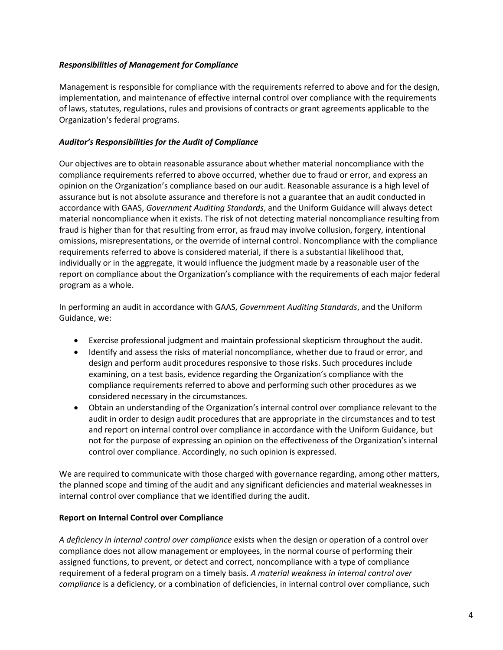## *Responsibilities of Management for Compliance*

Management is responsible for compliance with the requirements referred to above and for the design, implementation, and maintenance of effective internal control over compliance with the requirements of laws, statutes, regulations, rules and provisions of contracts or grant agreements applicable to the Organization's federal programs.

## *Auditor's Responsibilities for the Audit of Compliance*

Our objectives are to obtain reasonable assurance about whether material noncompliance with the compliance requirements referred to above occurred, whether due to fraud or error, and express an opinion on the Organization's compliance based on our audit. Reasonable assurance is a high level of assurance but is not absolute assurance and therefore is not a guarantee that an audit conducted in accordance with GAAS, *Government Auditing Standards*, and the Uniform Guidance will always detect material noncompliance when it exists. The risk of not detecting material noncompliance resulting from fraud is higher than for that resulting from error, as fraud may involve collusion, forgery, intentional omissions, misrepresentations, or the override of internal control. Noncompliance with the compliance requirements referred to above is considered material, if there is a substantial likelihood that, individually or in the aggregate, it would influence the judgment made by a reasonable user of the report on compliance about the Organization's compliance with the requirements of each major federal program as a whole.

In performing an audit in accordance with GAAS, *Government Auditing Standards*, and the Uniform Guidance, we:

- Exercise professional judgment and maintain professional skepticism throughout the audit.
- Identify and assess the risks of material noncompliance, whether due to fraud or error, and design and perform audit procedures responsive to those risks. Such procedures include examining, on a test basis, evidence regarding the Organization's compliance with the compliance requirements referred to above and performing such other procedures as we considered necessary in the circumstances.
- Obtain an understanding of the Organization's internal control over compliance relevant to the audit in order to design audit procedures that are appropriate in the circumstances and to test and report on internal control over compliance in accordance with the Uniform Guidance, but not for the purpose of expressing an opinion on the effectiveness of the Organization's internal control over compliance. Accordingly, no such opinion is expressed.

We are required to communicate with those charged with governance regarding, among other matters, the planned scope and timing of the audit and any significant deficiencies and material weaknesses in internal control over compliance that we identified during the audit.

#### **Report on Internal Control over Compliance**

*A deficiency in internal control over compliance* exists when the design or operation of a control over compliance does not allow management or employees, in the normal course of performing their assigned functions, to prevent, or detect and correct, noncompliance with a type of compliance requirement of a federal program on a timely basis. *A material weakness in internal control over compliance* is a deficiency, or a combination of deficiencies, in internal control over compliance, such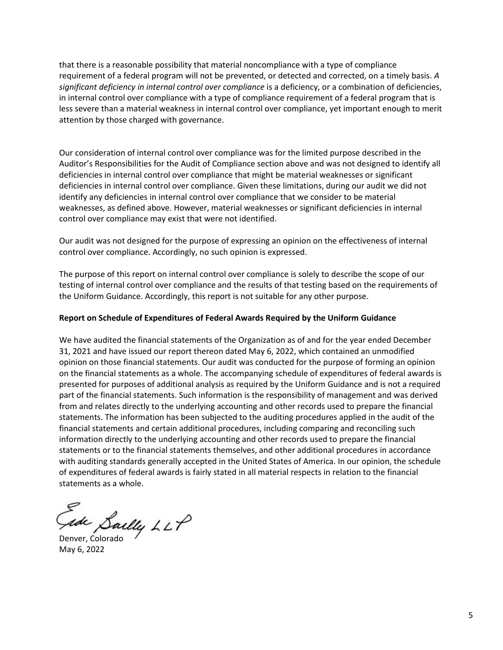that there is a reasonable possibility that material noncompliance with a type of compliance requirement of a federal program will not be prevented, or detected and corrected, on a timely basis. *A significant deficiency in internal control over compliance* is a deficiency, or a combination of deficiencies, in internal control over compliance with a type of compliance requirement of a federal program that is less severe than a material weakness in internal control over compliance, yet important enough to merit attention by those charged with governance.

Our consideration of internal control over compliance was for the limited purpose described in the Auditor's Responsibilities for the Audit of Compliance section above and was not designed to identify all deficiencies in internal control over compliance that might be material weaknesses or significant deficiencies in internal control over compliance. Given these limitations, during our audit we did not identify any deficiencies in internal control over compliance that we consider to be material weaknesses, as defined above. However, material weaknesses or significant deficiencies in internal control over compliance may exist that were not identified.

Our audit was not designed for the purpose of expressing an opinion on the effectiveness of internal control over compliance. Accordingly, no such opinion is expressed.

The purpose of this report on internal control over compliance is solely to describe the scope of our testing of internal control over compliance and the results of that testing based on the requirements of the Uniform Guidance. Accordingly, this report is not suitable for any other purpose.

#### **Report on Schedule of Expenditures of Federal Awards Required by the Uniform Guidance**

We have audited the financial statements of the Organization as of and for the year ended December 31, 2021 and have issued our report thereon dated May 6, 2022, which contained an unmodified opinion on those financial statements. Our audit was conducted for the purpose of forming an opinion on the financial statements as a whole. The accompanying schedule of expenditures of federal awards is presented for purposes of additional analysis as required by the Uniform Guidance and is not a required part of the financial statements. Such information is the responsibility of management and was derived from and relates directly to the underlying accounting and other records used to prepare the financial statements. The information has been subjected to the auditing procedures applied in the audit of the financial statements and certain additional procedures, including comparing and reconciling such information directly to the underlying accounting and other records used to prepare the financial statements or to the financial statements themselves, and other additional procedures in accordance with auditing standards generally accepted in the United States of America. In our opinion, the schedule of expenditures of federal awards is fairly stated in all material respects in relation to the financial statements as a whole.

Gade Saelly LLP<br>Denver, Colorado

May 6, 2022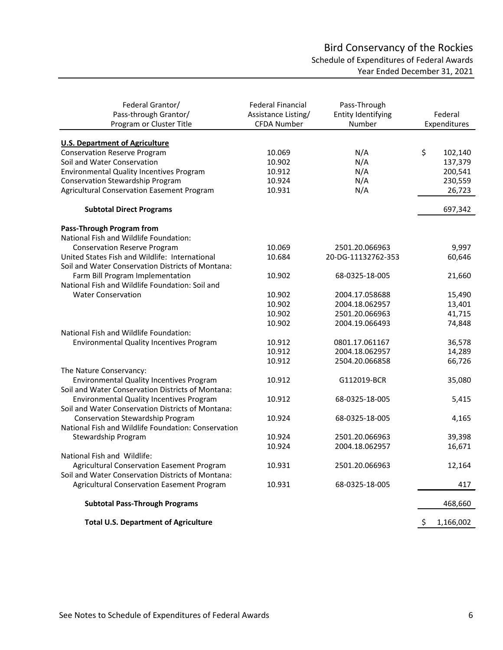# Bird Conservancy of the Rockies Schedule of Expenditures of Federal Awards Year Ended December 31, 2021

<span id="page-25-0"></span>

| Federal Grantor/<br>Pass-through Grantor/<br>Program or Cluster Title | <b>Federal Financial</b><br>Assistance Listing/<br><b>CFDA Number</b> | Pass-Through<br><b>Entity Identifying</b><br>Number | Federal<br>Expenditures |
|-----------------------------------------------------------------------|-----------------------------------------------------------------------|-----------------------------------------------------|-------------------------|
| <b>U.S. Department of Agriculture</b>                                 |                                                                       |                                                     |                         |
| <b>Conservation Reserve Program</b>                                   | 10.069                                                                | N/A                                                 | \$<br>102,140           |
| Soil and Water Conservation                                           | 10.902                                                                | N/A                                                 | 137,379                 |
| <b>Environmental Quality Incentives Program</b>                       | 10.912                                                                | N/A                                                 | 200,541                 |
| Conservation Stewardship Program                                      | 10.924                                                                | N/A                                                 | 230,559                 |
| Agricultural Conservation Easement Program                            | 10.931                                                                | N/A                                                 | 26,723                  |
| <b>Subtotal Direct Programs</b>                                       |                                                                       |                                                     | 697,342                 |
|                                                                       |                                                                       |                                                     |                         |
| Pass-Through Program from                                             |                                                                       |                                                     |                         |
| National Fish and Wildlife Foundation:                                |                                                                       |                                                     |                         |
| <b>Conservation Reserve Program</b>                                   | 10.069                                                                | 2501.20.066963                                      | 9,997                   |
| United States Fish and Wildlife: International                        | 10.684                                                                | 20-DG-11132762-353                                  | 60,646                  |
| Soil and Water Conservation Districts of Montana:                     |                                                                       |                                                     |                         |
| Farm Bill Program Implementation                                      | 10.902                                                                | 68-0325-18-005                                      | 21,660                  |
| National Fish and Wildlife Foundation: Soil and                       |                                                                       |                                                     |                         |
| <b>Water Conservation</b>                                             | 10.902                                                                | 2004.17.058688                                      | 15,490                  |
|                                                                       | 10.902                                                                | 2004.18.062957                                      | 13,401                  |
|                                                                       | 10.902                                                                | 2501.20.066963                                      | 41,715                  |
|                                                                       | 10.902                                                                | 2004.19.066493                                      | 74,848                  |
| National Fish and Wildlife Foundation:                                |                                                                       |                                                     |                         |
| <b>Environmental Quality Incentives Program</b>                       | 10.912                                                                | 0801.17.061167                                      | 36,578                  |
|                                                                       | 10.912                                                                | 2004.18.062957                                      | 14,289                  |
|                                                                       | 10.912                                                                | 2504.20.066858                                      | 66,726                  |
| The Nature Conservancy:                                               |                                                                       |                                                     |                         |
| <b>Environmental Quality Incentives Program</b>                       | 10.912                                                                | G112019-BCR                                         | 35,080                  |
| Soil and Water Conservation Districts of Montana:                     |                                                                       |                                                     |                         |
| <b>Environmental Quality Incentives Program</b>                       | 10.912                                                                | 68-0325-18-005                                      | 5,415                   |
| Soil and Water Conservation Districts of Montana:                     |                                                                       |                                                     |                         |
| Conservation Stewardship Program                                      | 10.924                                                                | 68-0325-18-005                                      | 4,165                   |
| National Fish and Wildlife Foundation: Conservation                   |                                                                       |                                                     |                         |
| Stewardship Program                                                   | 10.924                                                                | 2501.20.066963                                      | 39,398                  |
|                                                                       | 10.924                                                                | 2004.18.062957                                      | 16,671                  |
| National Fish and Wildlife:                                           |                                                                       |                                                     |                         |
| Agricultural Conservation Easement Program                            | 10.931                                                                | 2501.20.066963                                      | 12,164                  |
| Soil and Water Conservation Districts of Montana:                     |                                                                       |                                                     |                         |
| Agricultural Conservation Easement Program                            | 10.931                                                                | 68-0325-18-005                                      | 417                     |
| <b>Subtotal Pass-Through Programs</b>                                 |                                                                       |                                                     | 468,660                 |
| <b>Total U.S. Department of Agriculture</b>                           |                                                                       |                                                     | 1,166,002<br>S          |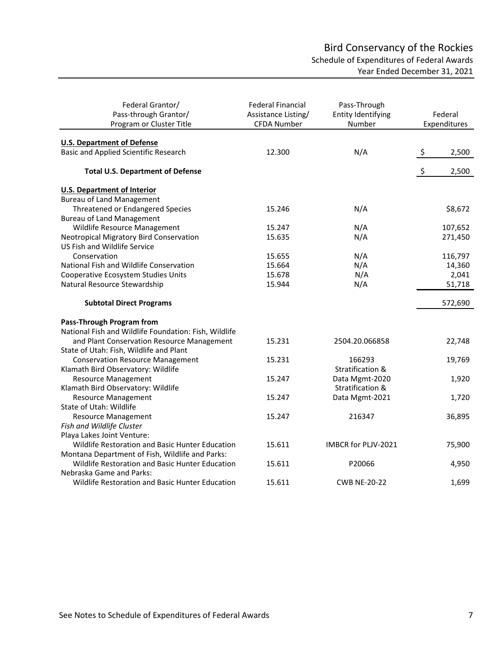# Bird Conservancy of the Rockies Schedule of Expenditures of Federal Awards Year Ended December 31, 2021

| Federal Grantor/<br>Pass-through Grantor/<br>Program or Cluster Title | <b>Federal Financial</b><br>Assistance Listing/<br><b>CFDA Number</b> | Pass-Through<br><b>Entity Identifying</b><br>Number |                    | Federal<br>Expenditures |
|-----------------------------------------------------------------------|-----------------------------------------------------------------------|-----------------------------------------------------|--------------------|-------------------------|
| <b>U.S. Department of Defense</b>                                     |                                                                       |                                                     |                    |                         |
| <b>Basic and Applied Scientific Research</b>                          | 12.300                                                                | N/A                                                 | $\ddot{\zeta}$     | 2,500                   |
| <b>Total U.S. Department of Defense</b>                               |                                                                       |                                                     | $\ddot{\varsigma}$ | 2,500                   |
| <b>U.S. Department of Interior</b>                                    |                                                                       |                                                     |                    |                         |
| Bureau of Land Management                                             |                                                                       |                                                     |                    |                         |
| Threatened or Endangered Species                                      | 15.246                                                                | N/A                                                 |                    | \$8,672                 |
| <b>Bureau of Land Management</b>                                      |                                                                       |                                                     |                    |                         |
| Wildlife Resource Management                                          | 15.247                                                                | N/A                                                 |                    | 107,652                 |
| <b>Neotropical Migratory Bird Conservation</b>                        | 15.635                                                                | N/A                                                 |                    | 271,450                 |
| US Fish and Wildlife Service                                          |                                                                       |                                                     |                    |                         |
| Conservation                                                          | 15.655                                                                | N/A                                                 |                    | 116,797                 |
| National Fish and Wildlife Conservation                               | 15.664                                                                | N/A                                                 |                    | 14,360                  |
| Cooperative Ecosystem Studies Units                                   | 15.678                                                                | N/A                                                 |                    | 2,041                   |
| Natural Resource Stewardship                                          | 15.944                                                                | N/A                                                 |                    | 51,718                  |
| <b>Subtotal Direct Programs</b>                                       |                                                                       |                                                     |                    | 572,690                 |
| Pass-Through Program from                                             |                                                                       |                                                     |                    |                         |
| National Fish and Wildlife Foundation: Fish, Wildlife                 |                                                                       |                                                     |                    |                         |
| and Plant Conservation Resource Management                            | 15.231                                                                | 2504.20.066858                                      |                    | 22,748                  |
| State of Utah: Fish, Wildlife and Plant                               |                                                                       |                                                     |                    |                         |
| <b>Conservation Resource Management</b>                               | 15.231                                                                | 166293                                              |                    | 19,769                  |
| Klamath Bird Observatory: Wildlife                                    |                                                                       | Stratification &                                    |                    |                         |
| <b>Resource Management</b>                                            | 15.247                                                                | Data Mgmt-2020                                      |                    | 1,920                   |
| Klamath Bird Observatory: Wildlife                                    |                                                                       | Stratification &                                    |                    |                         |
| <b>Resource Management</b>                                            | 15.247                                                                | Data Mgmt-2021                                      |                    | 1,720                   |
| State of Utah: Wildlife                                               |                                                                       |                                                     |                    |                         |
| <b>Resource Management</b>                                            | 15.247                                                                | 216347                                              |                    | 36,895                  |
| Fish and Wildlife Cluster                                             |                                                                       |                                                     |                    |                         |
| Playa Lakes Joint Venture:                                            |                                                                       |                                                     |                    |                         |
| Wildlife Restoration and Basic Hunter Education                       | 15.611                                                                | IMBCR for PLJV-2021                                 |                    | 75,900                  |
| Montana Department of Fish, Wildlife and Parks:                       |                                                                       |                                                     |                    |                         |
| Wildlife Restoration and Basic Hunter Education                       | 15.611                                                                | P20066                                              |                    | 4,950                   |
| Nebraska Game and Parks:                                              |                                                                       |                                                     |                    |                         |
| Wildlife Restoration and Basic Hunter Education                       | 15.611                                                                | <b>CWB NE-20-22</b>                                 |                    | 1,699                   |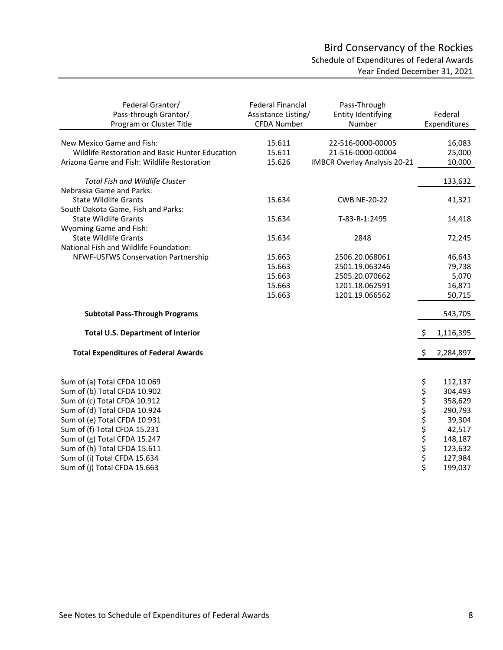# Bird Conservancy of the Rockies Schedule of Expenditures of Federal Awards Year Ended December 31, 2021

| Federal Grantor/<br>Pass-through Grantor/<br>Program or Cluster Title                                                       | <b>Federal Financial</b><br>Assistance Listing/<br><b>CFDA Number</b> | Pass-Through<br><b>Entity Identifying</b><br>Number                                    |       | Federal<br>Expenditures                       |
|-----------------------------------------------------------------------------------------------------------------------------|-----------------------------------------------------------------------|----------------------------------------------------------------------------------------|-------|-----------------------------------------------|
| New Mexico Game and Fish:<br>Wildlife Restoration and Basic Hunter Education<br>Arizona Game and Fish: Wildlife Restoration | 15.611<br>15.611<br>15.626                                            | 22-516-0000-00005<br>21-516-0000-00004<br><b>IMBCR Overlay Analysis 20-21</b>          |       | 16,083<br>25,000<br>10,000                    |
| <b>Total Fish and Wildlife Cluster</b>                                                                                      |                                                                       |                                                                                        |       | 133,632                                       |
| Nebraska Game and Parks:<br><b>State Wildlife Grants</b>                                                                    | 15.634                                                                | <b>CWB NE-20-22</b>                                                                    |       | 41,321                                        |
| South Dakota Game, Fish and Parks:<br><b>State Wildlife Grants</b><br>Wyoming Game and Fish:                                | 15.634                                                                | T-83-R-1:2495                                                                          |       | 14,418                                        |
| <b>State Wildlife Grants</b><br>National Fish and Wildlife Foundation:                                                      | 15.634                                                                | 2848                                                                                   |       | 72,245                                        |
| NFWF-USFWS Conservation Partnership                                                                                         | 15.663<br>15.663<br>15.663<br>15.663<br>15.663                        | 2506.20.068061<br>2501.19.063246<br>2505.20.070662<br>1201.18.062591<br>1201.19.066562 |       | 46,643<br>79,738<br>5,070<br>16,871<br>50,715 |
| <b>Subtotal Pass-Through Programs</b>                                                                                       |                                                                       |                                                                                        |       | 543,705                                       |
| <b>Total U.S. Department of Interior</b>                                                                                    |                                                                       |                                                                                        | -\$   | 1,116,395                                     |
| <b>Total Expenditures of Federal Awards</b>                                                                                 |                                                                       |                                                                                        | \$    | 2,284,897                                     |
|                                                                                                                             |                                                                       |                                                                                        |       |                                               |
| Sum of (a) Total CFDA 10.069<br>Sum of (b) Total CFDA 10.902                                                                |                                                                       |                                                                                        | \$    | 112,137<br>304,493                            |
| Sum of (c) Total CFDA 10.912                                                                                                |                                                                       |                                                                                        | ぐうさかい | 358,629                                       |
| Sum of (d) Total CFDA 10.924                                                                                                |                                                                       |                                                                                        |       | 290,793                                       |
| Sum of (e) Total CFDA 10.931                                                                                                |                                                                       |                                                                                        |       | 39,304                                        |
| Sum of (f) Total CFDA 15.231                                                                                                |                                                                       |                                                                                        |       | 42,517                                        |
| Sum of (g) Total CFDA 15.247                                                                                                |                                                                       |                                                                                        |       | 148,187                                       |
| Sum of (h) Total CFDA 15.611                                                                                                |                                                                       |                                                                                        |       | 123,632                                       |
| Sum of (i) Total CFDA 15.634                                                                                                |                                                                       |                                                                                        |       | 127,984                                       |
| Sum of (j) Total CFDA 15.663                                                                                                |                                                                       |                                                                                        | \$    | 199,037                                       |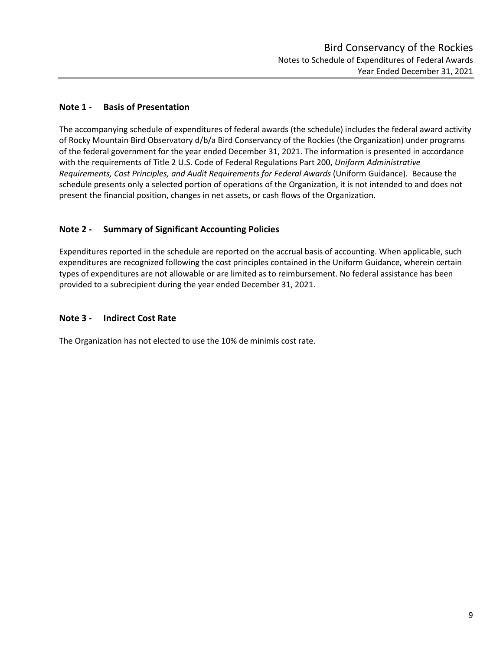## <span id="page-28-0"></span>**Note 1 - Basis of Presentation**

The accompanying schedule of expenditures of federal awards (the schedule) includes the federal award activity of Rocky Mountain Bird Observatory d/b/a Bird Conservancy of the Rockies (the Organization) under programs of the federal government for the year ended December 31, 2021. The information is presented in accordance with the requirements of Title 2 U.S. Code of Federal Regulations Part 200, *Uniform Administrative Requirements, Cost Principles, and Audit Requirements for Federal Awards* (Uniform Guidance)*.* Because the schedule presents only a selected portion of operations of the Organization, it is not intended to and does not present the financial position, changes in net assets, or cash flows of the Organization.

## **Note 2 - Summary of Significant Accounting Policies**

Expenditures reported in the schedule are reported on the accrual basis of accounting. When applicable, such expenditures are recognized following the cost principles contained in the Uniform Guidance, wherein certain types of expenditures are not allowable or are limited as to reimbursement. No federal assistance has been provided to a subrecipient during the year ended December 31, 2021.

## **Note 3 - Indirect Cost Rate**

The Organization has not elected to use the 10% de minimis cost rate.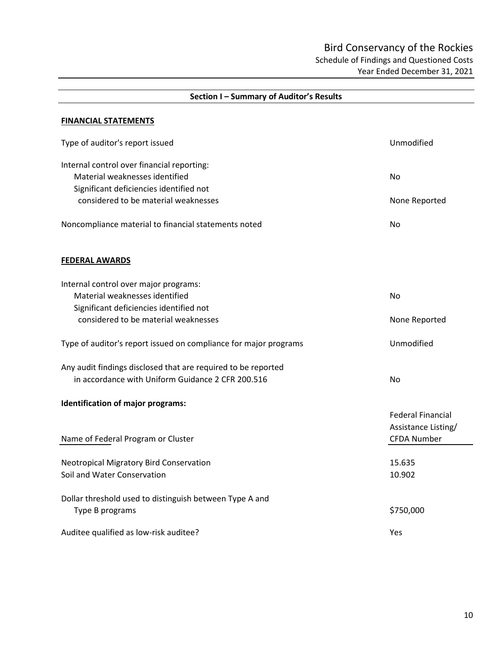| Year Ended December 31, 2021 |  |  |  |
|------------------------------|--|--|--|
|------------------------------|--|--|--|

<span id="page-29-0"></span>

| Section I - Summary of Auditor's Results                         |                          |  |
|------------------------------------------------------------------|--------------------------|--|
| <b>FINANCIAL STATEMENTS</b>                                      |                          |  |
| Type of auditor's report issued                                  | Unmodified               |  |
| Internal control over financial reporting:                       |                          |  |
| Material weaknesses identified                                   | No                       |  |
| Significant deficiencies identified not                          |                          |  |
| considered to be material weaknesses                             | None Reported            |  |
| Noncompliance material to financial statements noted             | No                       |  |
| <b>FEDERAL AWARDS</b>                                            |                          |  |
| Internal control over major programs:                            |                          |  |
| Material weaknesses identified                                   | No                       |  |
| Significant deficiencies identified not                          |                          |  |
| considered to be material weaknesses                             | None Reported            |  |
| Type of auditor's report issued on compliance for major programs | Unmodified               |  |
| Any audit findings disclosed that are required to be reported    |                          |  |
| in accordance with Uniform Guidance 2 CFR 200.516                | No                       |  |
| Identification of major programs:                                |                          |  |
|                                                                  | <b>Federal Financial</b> |  |
|                                                                  | Assistance Listing/      |  |
| Name of Federal Program or Cluster                               | <b>CFDA Number</b>       |  |
| <b>Neotropical Migratory Bird Conservation</b>                   | 15.635                   |  |
| Soil and Water Conservation                                      | 10.902                   |  |
| Dollar threshold used to distinguish between Type A and          |                          |  |
| Type B programs                                                  | \$750,000                |  |
| Auditee qualified as low-risk auditee?                           | Yes                      |  |